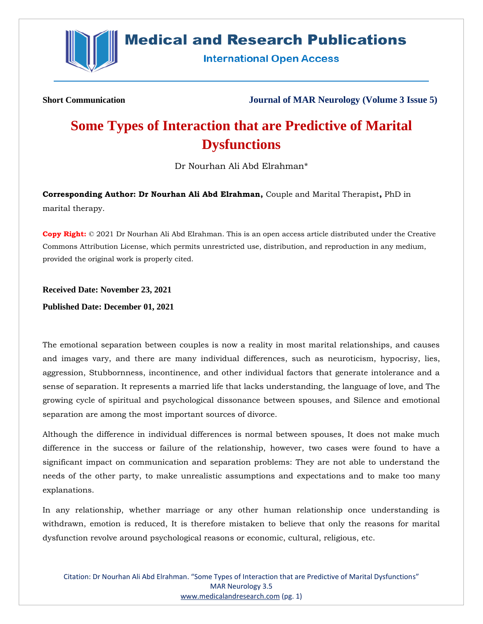

## **Medical and Research Publications**

**International Open Access** 

**Short Communication Journal of MAR Neurology (Volume 3 Issue 5)**

## **Some Types of Interaction that are Predictive of Marital Dysfunctions**

Dr Nourhan Ali Abd Elrahman\*

**Corresponding Author: Dr Nourhan Ali Abd Elrahman,** Couple and Marital Therapist**,** PhD in marital therapy.

**Copy Right:** © 2021 Dr Nourhan Ali Abd Elrahman. This is an open access article distributed under the Creative Commons Attribution License, which permits unrestricted use, distribution, and reproduction in any medium, provided the original work is properly cited.

**Received Date: November 23, 2021**

**Published Date: December 01, 2021**

The emotional separation between couples is now a reality in most marital relationships, and causes and images vary, and there are many individual differences, such as neuroticism, hypocrisy, lies, aggression, Stubbornness, incontinence, and other individual factors that generate intolerance and a sense of separation. It represents a married life that lacks understanding, the language of love, and The growing cycle of spiritual and psychological dissonance between spouses, and Silence and emotional separation are among the most important sources of divorce.

Although the difference in individual differences is normal between spouses, It does not make much difference in the success or failure of the relationship, however, two cases were found to have a significant impact on communication and separation problems: They are not able to understand the needs of the other party, to make unrealistic assumptions and expectations and to make too many explanations.

In any relationship, whether marriage or any other human relationship once understanding is withdrawn, emotion is reduced, It is therefore mistaken to believe that only the reasons for marital dysfunction revolve around psychological reasons or economic, cultural, religious, etc.

Citation: Dr Nourhan Ali Abd Elrahman. "Some Types of Interaction that are Predictive of Marital Dysfunctions" MAR Neurology 3.5 [www.medicalandresearch.com](http://www.medicalandresearch.com/) (pg. 1)